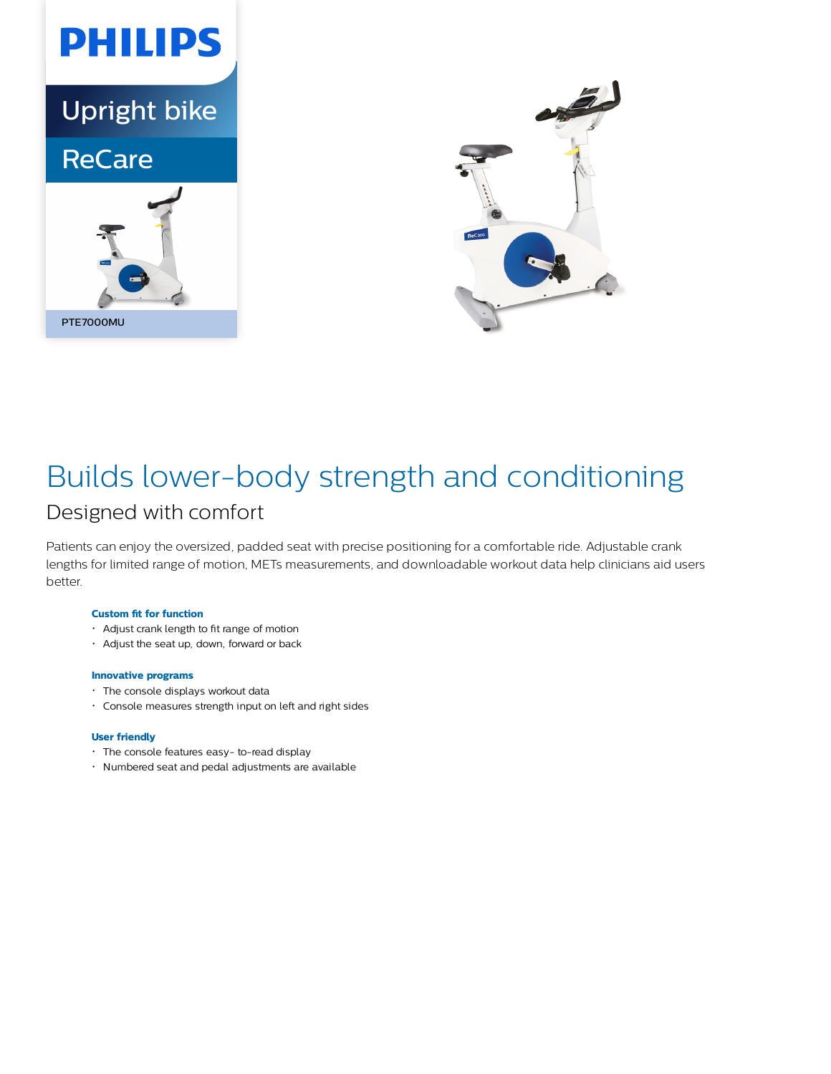



# Builds lower-body strength and conditioning

## Designed with comfort

Patients can enjoy the oversized, padded seat with precise positioning for a comfortable ride. Adjustable crank lengths for limited range of motion, METs measurements, and downloadable workout data help clinicians aid users better.

#### **Custom fit for function**

- Adjust crank length to fit range of motion
- Adjust the seat up, down, forward or back

#### **Innovative programs**

- The console displays workout data
- Console measures strength input on left and right sides

#### **User friendly**

- The console features easy- to-read display
- Numbered seat and pedal adjustments are available